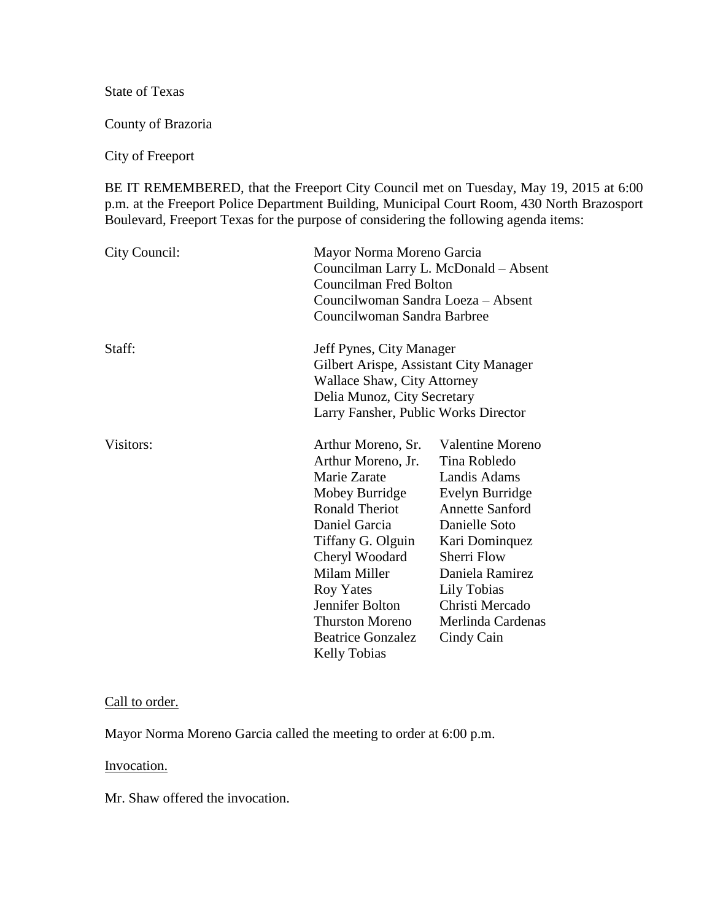State of Texas

County of Brazoria

City of Freeport

BE IT REMEMBERED, that the Freeport City Council met on Tuesday, May 19, 2015 at 6:00 p.m. at the Freeport Police Department Building, Municipal Court Room, 430 North Brazosport Boulevard, Freeport Texas for the purpose of considering the following agenda items:

| City Council: |                                                                                                                                                                                                                                                                                                 | Mayor Norma Moreno Garcia<br>Councilman Larry L. McDonald - Absent<br><b>Councilman Fred Bolton</b><br>Councilwoman Sandra Loeza - Absent<br>Councilwoman Sandra Barbree                                                                       |  |
|---------------|-------------------------------------------------------------------------------------------------------------------------------------------------------------------------------------------------------------------------------------------------------------------------------------------------|------------------------------------------------------------------------------------------------------------------------------------------------------------------------------------------------------------------------------------------------|--|
| Staff:        | Jeff Pynes, City Manager<br>Gilbert Arispe, Assistant City Manager<br><b>Wallace Shaw, City Attorney</b><br>Delia Munoz, City Secretary<br>Larry Fansher, Public Works Director                                                                                                                 |                                                                                                                                                                                                                                                |  |
| Visitors:     | Arthur Moreno, Sr.<br>Arthur Moreno, Jr.<br>Marie Zarate<br>Mobey Burridge<br><b>Ronald Theriot</b><br>Daniel Garcia<br>Tiffany G. Olguin<br>Cheryl Woodard<br>Milam Miller<br><b>Roy Yates</b><br>Jennifer Bolton<br><b>Thurston Moreno</b><br><b>Beatrice Gonzalez</b><br><b>Kelly Tobias</b> | <b>Valentine Moreno</b><br>Tina Robledo<br>Landis Adams<br>Evelyn Burridge<br><b>Annette Sanford</b><br>Danielle Soto<br>Kari Dominquez<br>Sherri Flow<br>Daniela Ramirez<br>Lily Tobias<br>Christi Mercado<br>Merlinda Cardenas<br>Cindy Cain |  |

#### Call to order.

Mayor Norma Moreno Garcia called the meeting to order at 6:00 p.m.

Invocation.

Mr. Shaw offered the invocation.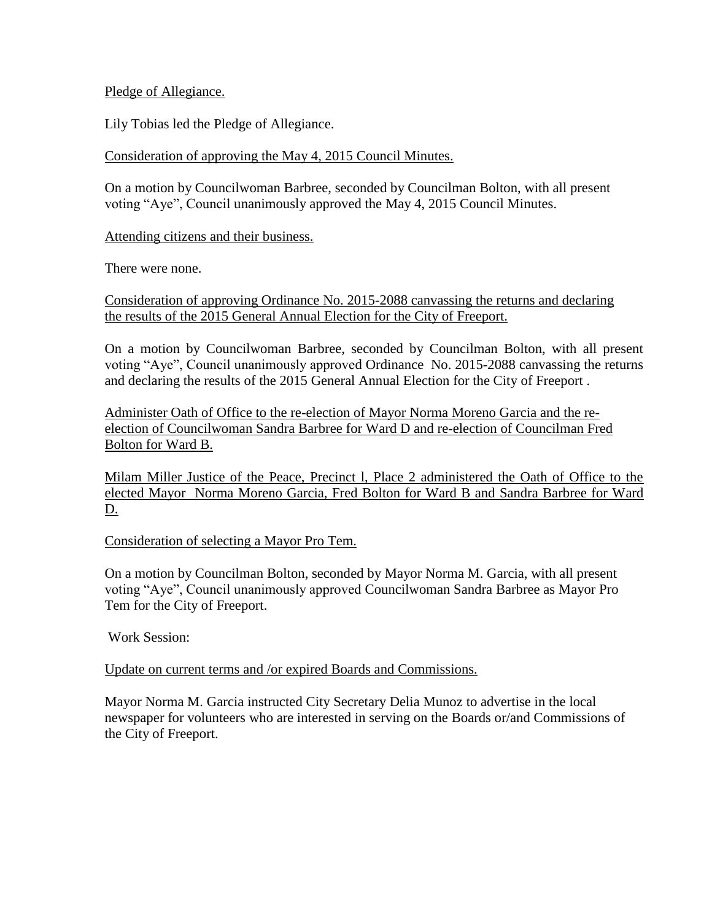### Pledge of Allegiance.

Lily Tobias led the Pledge of Allegiance.

## Consideration of approving the May 4, 2015 Council Minutes.

On a motion by Councilwoman Barbree, seconded by Councilman Bolton, with all present voting "Aye", Council unanimously approved the May 4, 2015 Council Minutes.

## Attending citizens and their business.

There were none.

Consideration of approving Ordinance No. 2015-2088 canvassing the returns and declaring the results of the 2015 General Annual Election for the City of Freeport.

On a motion by Councilwoman Barbree, seconded by Councilman Bolton, with all present voting "Aye", Council unanimously approved Ordinance No. 2015-2088 canvassing the returns and declaring the results of the 2015 General Annual Election for the City of Freeport .

Administer Oath of Office to the re-election of Mayor Norma Moreno Garcia and the reelection of Councilwoman Sandra Barbree for Ward D and re-election of Councilman Fred Bolton for Ward B.

Milam Miller Justice of the Peace, Precinct l, Place 2 administered the Oath of Office to the elected Mayor Norma Moreno Garcia, Fred Bolton for Ward B and Sandra Barbree for Ward D.

### Consideration of selecting a Mayor Pro Tem.

On a motion by Councilman Bolton, seconded by Mayor Norma M. Garcia, with all present voting "Aye", Council unanimously approved Councilwoman Sandra Barbree as Mayor Pro Tem for the City of Freeport.

Work Session:

# Update on current terms and /or expired Boards and Commissions.

Mayor Norma M. Garcia instructed City Secretary Delia Munoz to advertise in the local newspaper for volunteers who are interested in serving on the Boards or/and Commissions of the City of Freeport.